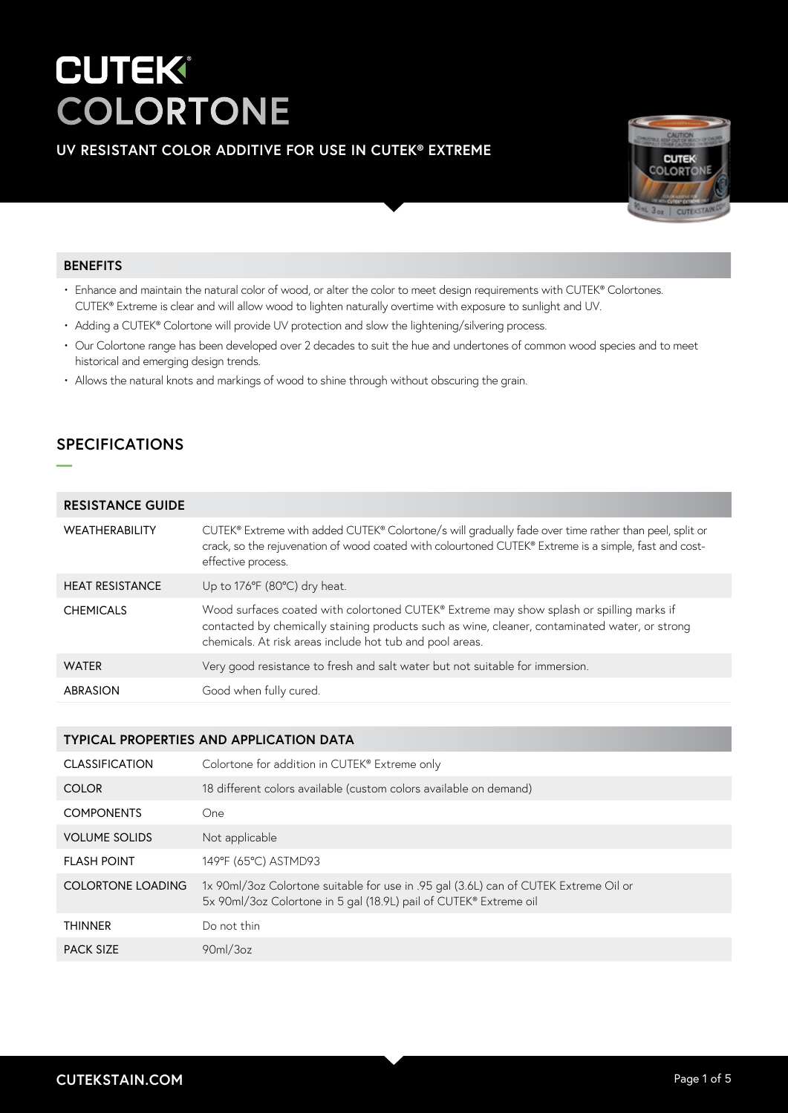## **UV RESISTANT COLOR ADDITIVE FOR USE IN CUTEK® EXTREME**



### **BENEFITS**

- Enhance and maintain the natural color of wood, or alter the color to meet design requirements with CUTEK® Colortones. CUTEK® Extreme is clear and will allow wood to lighten naturally overtime with exposure to sunlight and UV.
- Adding a CUTEK® Colortone will provide UV protection and slow the lightening/silvering process.
- Our Colortone range has been developed over 2 decades to suit the hue and undertones of common wood species and to meet historical and emerging design trends.
- Allows the natural knots and markings of wood to shine through without obscuring the grain.

# **SPECIFICATIONS**

**—**

| <b>RESISTANCE GUIDE</b> |
|-------------------------|
|-------------------------|

| WEATHERABILITY         | CUTEK® Extreme with added CUTEK® Colortone/s will gradually fade over time rather than peel, split or<br>crack, so the rejuvenation of wood coated with colourtoned CUTEK® Extreme is a simple, fast and cost-<br>effective process.                   |
|------------------------|--------------------------------------------------------------------------------------------------------------------------------------------------------------------------------------------------------------------------------------------------------|
| <b>HEAT RESISTANCE</b> | Up to 176°F (80°C) dry heat.                                                                                                                                                                                                                           |
| <b>CHEMICALS</b>       | Wood surfaces coated with colortoned CUTEK® Extreme may show splash or spilling marks if<br>contacted by chemically staining products such as wine, cleaner, contaminated water, or strong<br>chemicals. At risk areas include hot tub and pool areas. |
| <b>WATER</b>           | Very good resistance to fresh and salt water but not suitable for immersion.                                                                                                                                                                           |
| ABRASION               | Good when fully cured.                                                                                                                                                                                                                                 |

### **TYPICAL PROPERTIES AND APPLICATION DATA**

| <b>CLASSIFICATION</b>    | Colortone for addition in CUTEK® Extreme only                                                                                                             |
|--------------------------|-----------------------------------------------------------------------------------------------------------------------------------------------------------|
| <b>COLOR</b>             | 18 different colors available (custom colors available on demand)                                                                                         |
| <b>COMPONENTS</b>        | One                                                                                                                                                       |
| <b>VOLUME SOLIDS</b>     | Not applicable                                                                                                                                            |
| <b>FLASH POINT</b>       | 149°F (65°C) ASTMD93                                                                                                                                      |
| <b>COLORTONE LOADING</b> | 1x 90ml/3oz Colortone suitable for use in .95 gal (3.6L) can of CUTEK Extreme Oil or<br>5x 90ml/3oz Colortone in 5 gal (18.9L) pail of CUTEK® Extreme oil |
| <b>THINNER</b>           | Do not thin                                                                                                                                               |
| <b>PACK SIZE</b>         | 90 <sub>m</sub> /3 <sub>oz</sub>                                                                                                                          |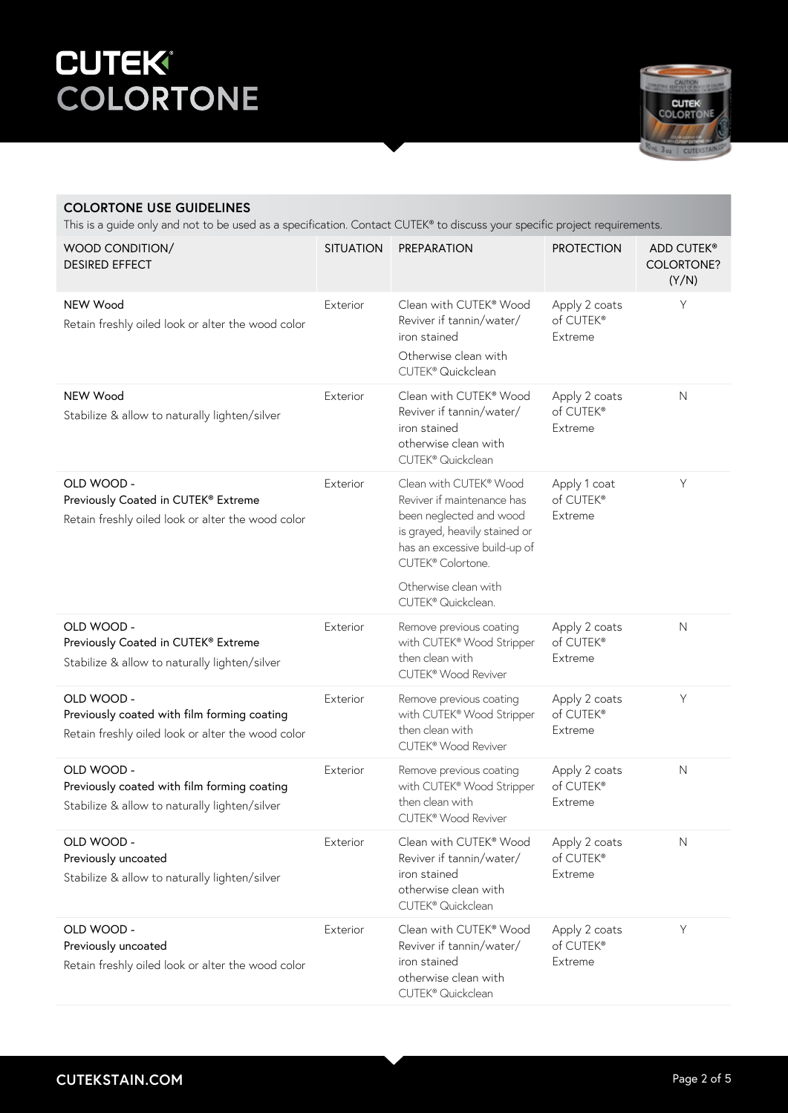

### **COLORTONE USE GUIDELINES**

This is a guide only and not to be used as a specification. Contact CUTEK® to discuss your specific project requirements.

| WOOD CONDITION/<br><b>DESIRED EFFECT</b>                                                                       | <b>SITUATION</b> | <b>PREPARATION</b>                                                                                                                                                    | <b>PROTECTION</b>                     | ADD CUTEK®<br><b>COLORTONE?</b><br>(Y/N) |
|----------------------------------------------------------------------------------------------------------------|------------------|-----------------------------------------------------------------------------------------------------------------------------------------------------------------------|---------------------------------------|------------------------------------------|
| NEW Wood<br>Retain freshly oiled look or alter the wood color                                                  | Exterior         | Clean with CUTEK® Wood<br>Reviver if tannin/water/<br>iron stained<br>Otherwise clean with<br>CUTEK <sup>®</sup> Quickclean                                           | Apply 2 coats<br>of CUTEK®<br>Extreme | Y                                        |
| NEW Wood<br>Stabilize & allow to naturally lighten/silver                                                      | Exterior         | Clean with CUTEK® Wood<br>Reviver if tannin/water/<br>iron stained<br>otherwise clean with<br>CUTEK <sup>®</sup> Quickclean                                           | Apply 2 coats<br>of CUTEK®<br>Extreme | $\mathsf{N}$                             |
| OLD WOOD -<br>Previously Coated in CUTEK® Extreme<br>Retain freshly oiled look or alter the wood color         | Exterior         | Clean with CUTEK® Wood<br>Reviver if maintenance has<br>been neglected and wood<br>is grayed, heavily stained or<br>has an excessive build-up of<br>CUTEK® Colortone. | Apply 1 coat<br>of CUTEK®<br>Extreme  | $\mathsf Y$                              |
|                                                                                                                |                  | Otherwise clean with<br>CUTEK® Quickclean.                                                                                                                            |                                       |                                          |
| OLD WOOD -<br>Previously Coated in CUTEK® Extreme<br>Stabilize & allow to naturally lighten/silver             | Exterior         | Remove previous coating<br>with CUTEK® Wood Stripper<br>then clean with<br>CUTEK® Wood Reviver                                                                        | Apply 2 coats<br>of CUTEK®<br>Extreme | $\mathsf{N}$                             |
| OLD WOOD -<br>Previously coated with film forming coating<br>Retain freshly oiled look or alter the wood color | Exterior         | Remove previous coating<br>with CUTEK® Wood Stripper<br>then clean with<br>CUTEK® Wood Reviver                                                                        | Apply 2 coats<br>of CUTEK®<br>Extreme | $\mathsf Y$                              |
| OLD WOOD -<br>Previously coated with film forming coating<br>Stabilize & allow to naturally lighten/silver     | Exterior         | Remove previous coating<br>with CUTEK® Wood Stripper<br>then clean with<br>CUTEK <sup>®</sup> Wood Reviver                                                            | Apply 2 coats<br>of CUTEK®<br>Extreme | $\mathsf{N}$                             |
| OLD WOOD -<br>Previously uncoated<br>Stabilize & allow to naturally lighten/silver                             | Exterior         | Clean with CUTEK® Wood<br>Reviver if tannin/water/<br>iron stained<br>otherwise clean with<br>CUTEK <sup>®</sup> Quickclean                                           | Apply 2 coats<br>of CUTEK®<br>Extreme | $\mathsf{N}$                             |
| OLD WOOD -<br>Previously uncoated<br>Retain freshly oiled look or alter the wood color                         | Exterior         | Clean with CUTEK® Wood<br>Reviver if tannin/water/<br>iron stained<br>otherwise clean with<br>CUTEK® Quickclean                                                       | Apply 2 coats<br>of CUTEK®<br>Extreme | $\mathsf Y$                              |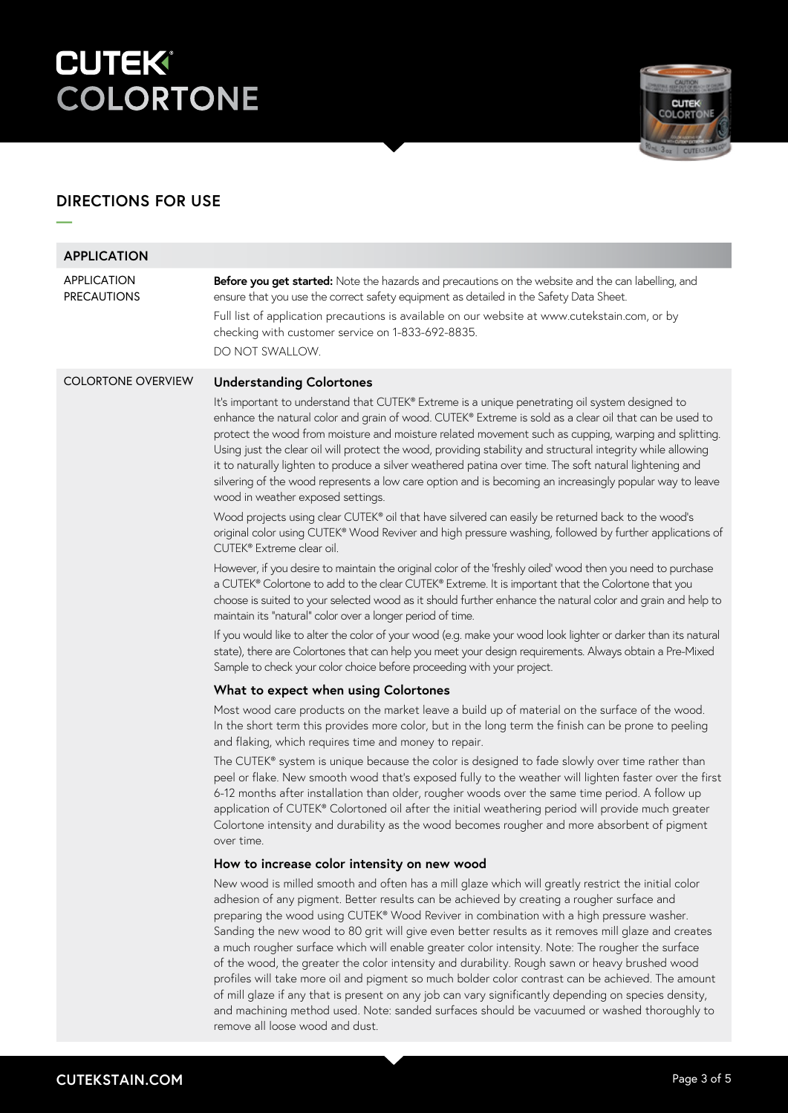

# **DIRECTIONS FOR USE**

**—**

| <b>APPLICATION</b>                       |                                                                                                                                                                                                                                                                                                                                                                                                                                                                                                                                                                                                                                                                                                                                                                                                                                                                                                                                                      |
|------------------------------------------|------------------------------------------------------------------------------------------------------------------------------------------------------------------------------------------------------------------------------------------------------------------------------------------------------------------------------------------------------------------------------------------------------------------------------------------------------------------------------------------------------------------------------------------------------------------------------------------------------------------------------------------------------------------------------------------------------------------------------------------------------------------------------------------------------------------------------------------------------------------------------------------------------------------------------------------------------|
| <b>APPLICATION</b><br><b>PRECAUTIONS</b> | Before you get started: Note the hazards and precautions on the website and the can labelling, and<br>ensure that you use the correct safety equipment as detailed in the Safety Data Sheet.<br>Full list of application precautions is available on our website at www.cutekstain.com, or by<br>checking with customer service on 1-833-692-8835.<br>DO NOT SWALLOW.                                                                                                                                                                                                                                                                                                                                                                                                                                                                                                                                                                                |
| <b>COLORTONE OVERVIEW</b>                | <b>Understanding Colortones</b>                                                                                                                                                                                                                                                                                                                                                                                                                                                                                                                                                                                                                                                                                                                                                                                                                                                                                                                      |
|                                          | It's important to understand that CUTEK® Extreme is a unique penetrating oil system designed to<br>enhance the natural color and grain of wood. CUTEK® Extreme is sold as a clear oil that can be used to<br>protect the wood from moisture and moisture related movement such as cupping, warping and splitting.<br>Using just the clear oil will protect the wood, providing stability and structural integrity while allowing<br>it to naturally lighten to produce a silver weathered patina over time. The soft natural lightening and<br>silvering of the wood represents a low care option and is becoming an increasingly popular way to leave<br>wood in weather exposed settings.                                                                                                                                                                                                                                                          |
|                                          | Wood projects using clear CUTEK® oil that have silvered can easily be returned back to the wood's<br>original color using CUTEK® Wood Reviver and high pressure washing, followed by further applications of<br>CUTEK® Extreme clear oil.                                                                                                                                                                                                                                                                                                                                                                                                                                                                                                                                                                                                                                                                                                            |
|                                          | However, if you desire to maintain the original color of the 'freshly oiled' wood then you need to purchase<br>a CUTEK® Colortone to add to the clear CUTEK® Extreme. It is important that the Colortone that you<br>choose is suited to your selected wood as it should further enhance the natural color and grain and help to<br>maintain its "natural" color over a longer period of time.                                                                                                                                                                                                                                                                                                                                                                                                                                                                                                                                                       |
|                                          | If you would like to alter the color of your wood (e.g. make your wood look lighter or darker than its natural<br>state), there are Colortones that can help you meet your design requirements. Always obtain a Pre-Mixed<br>Sample to check your color choice before proceeding with your project.                                                                                                                                                                                                                                                                                                                                                                                                                                                                                                                                                                                                                                                  |
|                                          | What to expect when using Colortones                                                                                                                                                                                                                                                                                                                                                                                                                                                                                                                                                                                                                                                                                                                                                                                                                                                                                                                 |
|                                          | Most wood care products on the market leave a build up of material on the surface of the wood.<br>In the short term this provides more color, but in the long term the finish can be prone to peeling<br>and flaking, which requires time and money to repair.                                                                                                                                                                                                                                                                                                                                                                                                                                                                                                                                                                                                                                                                                       |
|                                          | The CUTEK® system is unique because the color is designed to fade slowly over time rather than<br>peel or flake. New smooth wood that's exposed fully to the weather will lighten faster over the first<br>6-12 months after installation than older, rougher woods over the same time period. A follow up<br>application of CUTEK® Colortoned oil after the initial weathering period will provide much greater<br>Colortone intensity and durability as the wood becomes rougher and more absorbent of pigment<br>over time.                                                                                                                                                                                                                                                                                                                                                                                                                       |
|                                          | How to increase color intensity on new wood                                                                                                                                                                                                                                                                                                                                                                                                                                                                                                                                                                                                                                                                                                                                                                                                                                                                                                          |
|                                          | New wood is milled smooth and often has a mill glaze which will greatly restrict the initial color<br>adhesion of any pigment. Better results can be achieved by creating a rougher surface and<br>preparing the wood using CUTEK® Wood Reviver in combination with a high pressure washer.<br>Sanding the new wood to 80 grit will give even better results as it removes mill glaze and creates<br>a much rougher surface which will enable greater color intensity. Note: The rougher the surface<br>of the wood, the greater the color intensity and durability. Rough sawn or heavy brushed wood<br>profiles will take more oil and pigment so much bolder color contrast can be achieved. The amount<br>of mill glaze if any that is present on any job can vary significantly depending on species density,<br>and machining method used. Note: sanded surfaces should be vacuumed or washed thoroughly to<br>remove all loose wood and dust. |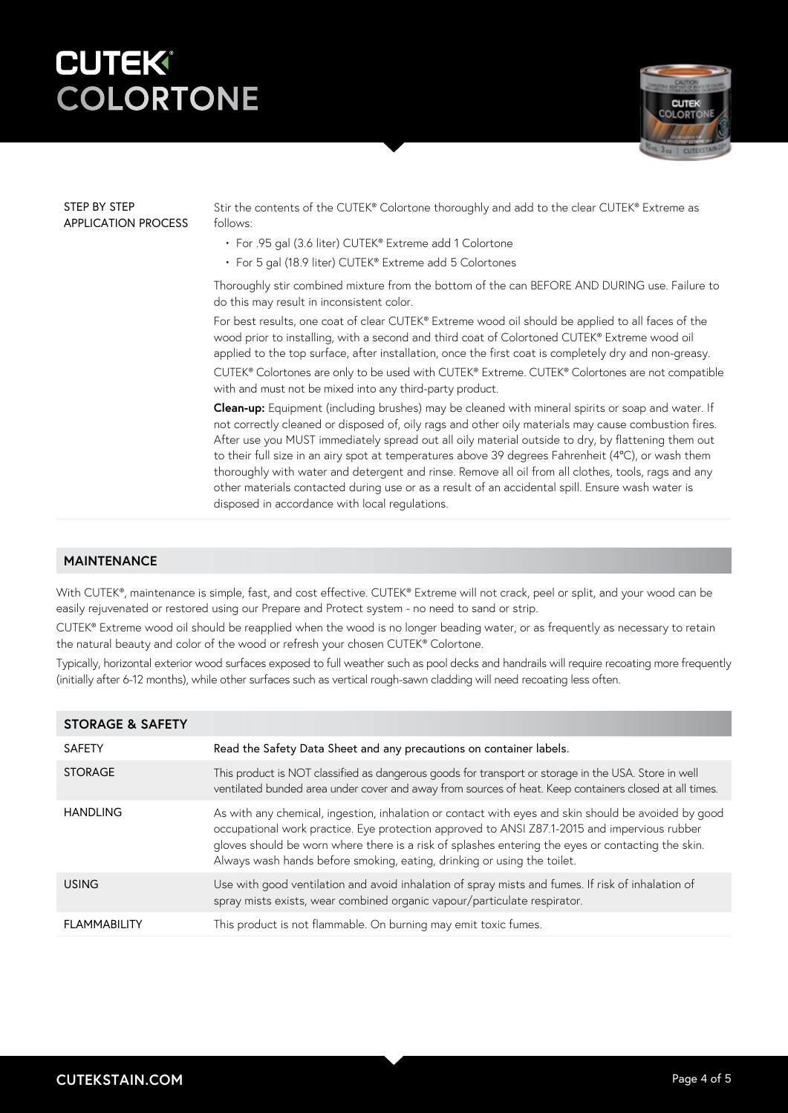

#### STEP BY STEP APPLICATION PROCESS

Stir the contents of the CUTEK® Colortone thoroughly and add to the clear CUTEK® Extreme as follows:

- For .95 gal (3.6 liter) CUTEK® Extreme add 1 Colortone
- For 5 gal (18.9 liter) CUTEK® Extreme add 5 Colortones

Thoroughly stir combined mixture from the bottom of the can BEFORE AND DURING use. Failure to do this may result in inconsistent color.

For best results, one coat of clear CUTEK® Extreme wood oil should be applied to all faces of the wood prior to installing, with a second and third coat of Colortoned CUTEK® Extreme wood oil applied to the top surface, after installation, once the first coat is completely dry and non-greasy. CUTEK® Colortones are only to be used with CUTEK® Extreme. CUTEK® Colortones are not compatible with and must not be mixed into any third-party product.

**Clean-up:** Equipment (including brushes) may be cleaned with mineral spirits or soap and water. If not correctly cleaned or disposed of, oily rags and other oily materials may cause combustion fires. After use you MUST immediately spread out all oily material outside to dry, by flattening them out to their full size in an airy spot at temperatures above 39 degrees Fahrenheit (4°C), or wash them thoroughly with water and detergent and rinse. Remove all oil from all clothes, tools, rags and any other materials contacted during use or as a result of an accidental spill. Ensure wash water is disposed in accordance with local regulations.

### **MAINTENANCE**

With CUTEK®, maintenance is simple, fast, and cost effective. CUTEK® Extreme will not crack, peel or split, and your wood can be easily rejuvenated or restored using our Prepare and Protect system - no need to sand or strip.

CUTEK® Extreme wood oil should be reapplied when the wood is no longer beading water, or as frequently as necessary to retain the natural beauty and color of the wood or refresh your chosen CUTEK® Colortone.

Typically, horizontal exterior wood surfaces exposed to full weather such as pool decks and handrails will require recoating more frequently (initially after 6-12 months), while other surfaces such as vertical rough-sawn cladding will need recoating less often.

| <b>STORAGE &amp; SAFETY</b> |                                                                                                                                                                                                                                                                                                                                                                                     |
|-----------------------------|-------------------------------------------------------------------------------------------------------------------------------------------------------------------------------------------------------------------------------------------------------------------------------------------------------------------------------------------------------------------------------------|
| <b>SAFETY</b>               | Read the Safety Data Sheet and any precautions on container labels.                                                                                                                                                                                                                                                                                                                 |
| <b>STORAGE</b>              | This product is NOT classified as dangerous goods for transport or storage in the USA. Store in well<br>ventilated bunded area under cover and away from sources of heat. Keep containers closed at all times.                                                                                                                                                                      |
| <b>HANDLING</b>             | As with any chemical, ingestion, inhalation or contact with eyes and skin should be avoided by good<br>occupational work practice. Eye protection approved to ANSI Z87.1-2015 and impervious rubber<br>gloves should be worn where there is a risk of splashes entering the eyes or contacting the skin.<br>Always wash hands before smoking, eating, drinking or using the toilet. |
| <b>USING</b>                | Use with good ventilation and avoid inhalation of spray mists and fumes. If risk of inhalation of<br>spray mists exists, wear combined organic vapour/particulate respirator.                                                                                                                                                                                                       |
| <b>FLAMMABILITY</b>         | This product is not flammable. On burning may emit toxic fumes.                                                                                                                                                                                                                                                                                                                     |